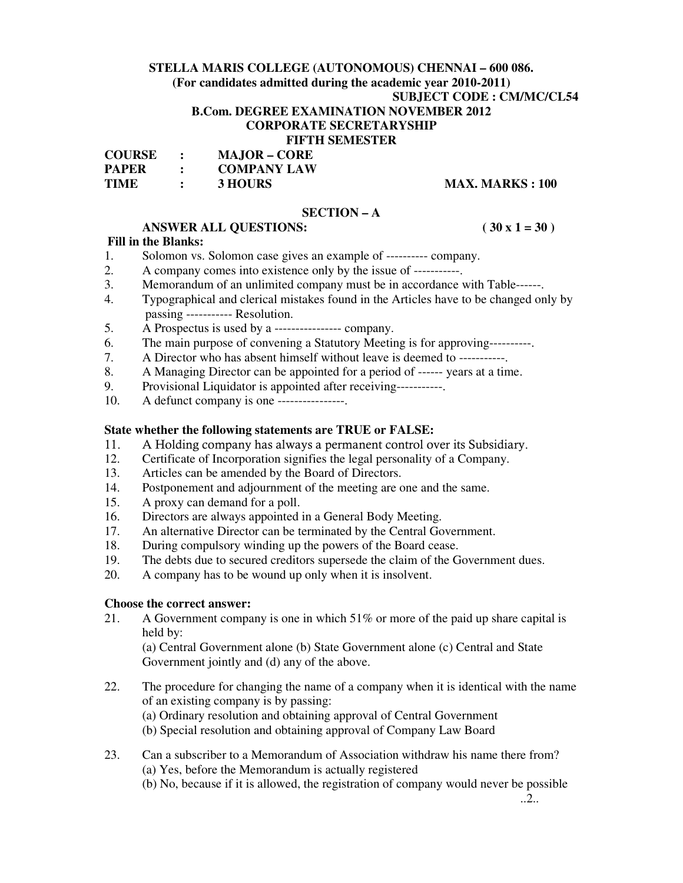# **STELLA MARIS COLLEGE (AUTONOMOUS) CHENNAI – 600 086.**

**(For candidates admitted during the academic year 2010-2011)** 

**SUBJECT CODE : CM/MC/CL54** 

## **B.Com. DEGREE EXAMINATION NOVEMBER 2012**

# **CORPORATE SECRETARYSHIP**

#### **FIFTH SEMESTER**

| <b>COURSE</b> | <b>MAJOR – CORE</b> |
|---------------|---------------------|
| <b>PAPER</b>  | <b>COMPANY LAW</b>  |
| <b>TIME</b>   | 3 HOURS             |

### **TIME 3 HOURS** MAX. MARKS : 100

#### **SECTION – A**

# **ANSWER ALL QUESTIONS: ( 30 x 1 = 30 )**

#### **Fill in the Blanks:**

- 1. Solomon vs. Solomon case gives an example of ---------- company.
- 2. A company comes into existence only by the issue of -----------
- 3. Memorandum of an unlimited company must be in accordance with Table------.
- 4. Typographical and clerical mistakes found in the Articles have to be changed only by passing ----------- Resolution.
- 5. A Prospectus is used by a ---------------- company.
- 6. The main purpose of convening a Statutory Meeting is for approving----------.
- 7. A Director who has absent himself without leave is deemed to -----------.
- 8. A Managing Director can be appointed for a period of ------ years at a time.
- 9. Provisional Liquidator is appointed after receiving-----------.
- 10. A defunct company is one ----------------.

#### **State whether the following statements are TRUE or FALSE:**

- 11. A Holding company has always a permanent control over its Subsidiary.
- 12. Certificate of Incorporation signifies the legal personality of a Company.
- 13. Articles can be amended by the Board of Directors.
- 14. Postponement and adjournment of the meeting are one and the same.
- 15. A proxy can demand for a poll.
- 16. Directors are always appointed in a General Body Meeting.
- 17. An alternative Director can be terminated by the Central Government.
- 18. During compulsory winding up the powers of the Board cease.
- 19. The debts due to secured creditors supersede the claim of the Government dues.
- 20. A company has to be wound up only when it is insolvent.

## **Choose the correct answer:**

21. A Government company is one in which 51% or more of the paid up share capital is held by:

(a) Central Government alone (b) State Government alone (c) Central and State Government jointly and (d) any of the above.

- 22. The procedure for changing the name of a company when it is identical with the name of an existing company is by passing:
	- (a) Ordinary resolution and obtaining approval of Central Government
	- (b) Special resolution and obtaining approval of Company Law Board
- 23. Can a subscriber to a Memorandum of Association withdraw his name there from? (a) Yes, before the Memorandum is actually registered
	- (b) No, because if it is allowed, the registration of company would never be possible